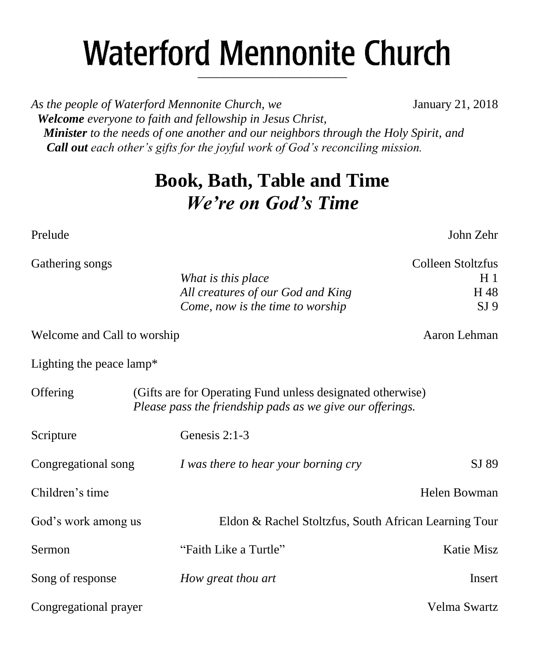# **Waterford Mennonite Church** \_\_\_\_\_\_\_\_\_\_\_\_\_\_\_\_\_\_\_\_\_\_\_\_

As the people of Waterford Mennonite Church, we **January 21, 2018**  *Welcome everyone to faith and fellowship in Jesus Christ, Minister to the needs of one another and our neighbors through the Holy Spirit, and Call out each other's gifts for the joyful work of God's reconciling mission.*

## **Book, Bath, Table and Time** *We're on God's Time*

*What is this place* H 1

Gathering songs Colleen Stoltzfus

Prelude John Zehr

|                                    | <i>rritul is thus pluce</i>                                                                                             | 11 T            |
|------------------------------------|-------------------------------------------------------------------------------------------------------------------------|-----------------|
|                                    | All creatures of our God and King                                                                                       | H 48            |
|                                    | Come, now is the time to worship                                                                                        | SI <sub>9</sub> |
| Welcome and Call to worship        |                                                                                                                         | Aaron Lehman    |
| Lighting the peace $\text{lamp}^*$ |                                                                                                                         |                 |
| Offering                           | (Gifts are for Operating Fund unless designated otherwise)<br>Please pass the friendship pads as we give our offerings. |                 |
| Scripture                          | Genesis $2:1-3$                                                                                                         |                 |
| Congregational song                | I was there to hear your borning cry                                                                                    | SJ 89           |
| Children's time                    |                                                                                                                         | Helen Bowman    |
|                                    |                                                                                                                         |                 |

God's work among us Eldon & Rachel Stoltzfus, South African Learning Tour Sermon **Example 3** Teath Like a Turtle" **Katie Misz** Katie Misz Song of response *How great thou art* Insert Congregational prayer Velma Swartz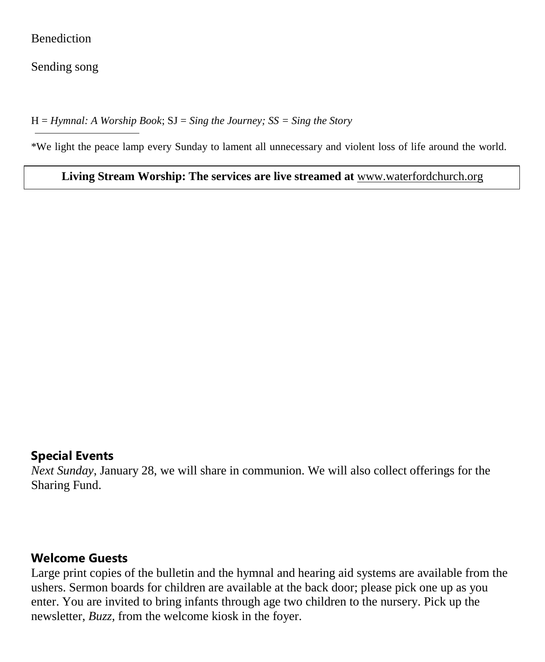#### **Benediction**

Sending song

H = *Hymnal: A Worship Book*; SJ = *Sing the Journey; SS = Sing the Story*

\*We light the peace lamp every Sunday to lament all unnecessary and violent loss of life around the world.

**Living Stream Worship: The services are live streamed at** [www.waterfordchurch.org](http://www.waterfordchurch.org/)

#### **Special Events**

*Next Sunday*, January 28, we will share in communion. We will also collect offerings for the Sharing Fund.

#### **Welcome Guests**

Large print copies of the bulletin and the hymnal and hearing aid systems are available from the ushers. Sermon boards for children are available at the back door; please pick one up as you enter. You are invited to bring infants through age two children to the nursery. Pick up the newsletter, *Buzz,* from the welcome kiosk in the foyer.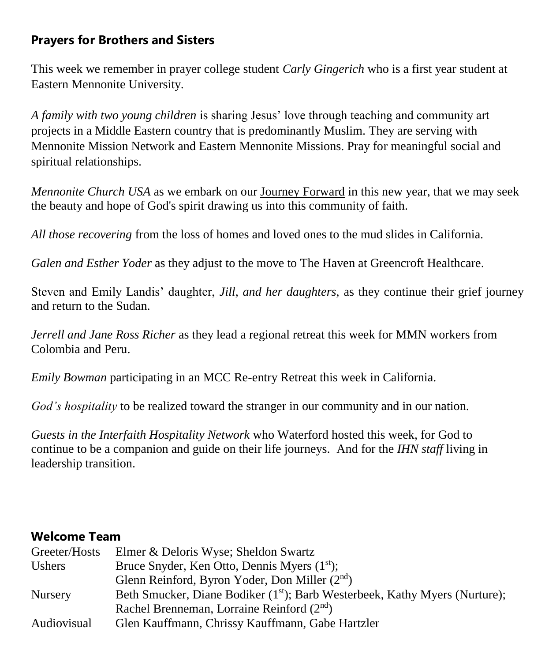## **Prayers for Brothers and Sisters**

This week we remember in prayer college student *Carly Gingerich* who is a first year student at Eastern Mennonite University.

*A family with two young children* is sharing Jesus' love through teaching and community art projects in a Middle Eastern country that is predominantly Muslim. They are serving with Mennonite Mission Network and Eastern Mennonite Missions. Pray for meaningful social and spiritual relationships.

*Mennonite Church USA* as we embark on our [Journey Forward](https://mennoniteusa.us1.list-manage.com/track/click?u=97f16d9c230780d6354d01572&id=ff8e0529d8&e=535ab6e3ba) in this new year, that we may seek the beauty and hope of God's spirit drawing us into this community of faith.

*All those recovering* from the loss of homes and loved ones to the mud slides in California.

*Galen and Esther Yoder* as they adjust to the move to The Haven at Greencroft Healthcare.

Steven and Emily Landis' daughter, *Jill, and her daughters,* as they continue their grief journey and return to the Sudan.

*Jerrell and Jane Ross Richer* as they lead a regional retreat this week for MMN workers from Colombia and Peru.

*Emily Bowman* participating in an MCC Re-entry Retreat this week in California.

*God's hospitality* to be realized toward the stranger in our community and in our nation.

*Guests in the Interfaith Hospitality Network* who Waterford hosted this week, for God to continue to be a companion and guide on their life journeys. And for the *IHN staff* living in leadership transition.

#### **Welcome Team**

| Elmer & Deloris Wyse; Sheldon Swartz                                                    |
|-----------------------------------------------------------------------------------------|
| Bruce Snyder, Ken Otto, Dennis Myers (1 <sup>st</sup> );                                |
| Glenn Reinford, Byron Yoder, Don Miller (2 <sup>nd</sup> )                              |
| Beth Smucker, Diane Bodiker (1 <sup>st</sup> ); Barb Westerbeek, Kathy Myers (Nurture); |
| Rachel Brenneman, Lorraine Reinford $(2nd)$                                             |
| Glen Kauffmann, Chrissy Kauffmann, Gabe Hartzler                                        |
|                                                                                         |